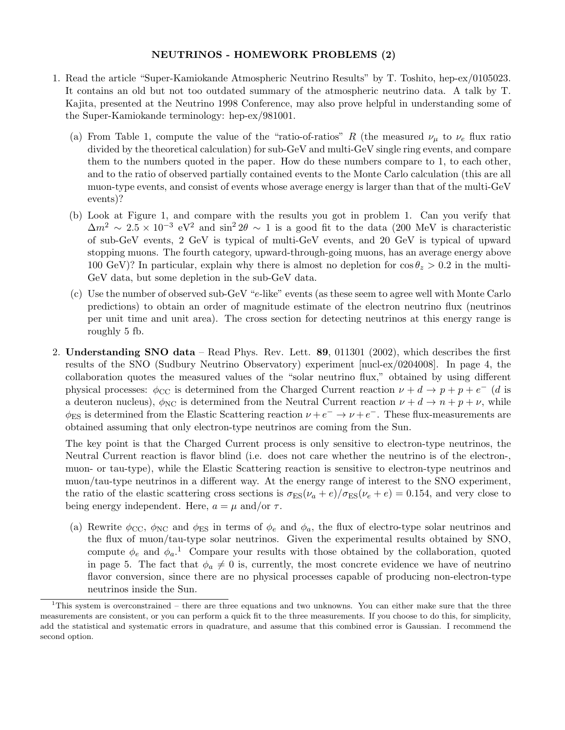## NEUTRINOS - HOMEWORK PROBLEMS (2)

- 1. Read the article "Super-Kamiokande Atmospheric Neutrino Results" by T. Toshito, hep-ex/0105023. It contains an old but not too outdated summary of the atmospheric neutrino data. A talk by T. Kajita, presented at the Neutrino 1998 Conference, may also prove helpful in understanding some of the Super-Kamiokande terminology: hep-ex/981001.
	- (a) From Table 1, compute the value of the "ratio-of-ratios" R (the measured  $\nu_{\mu}$  to  $\nu_e$  flux ratio divided by the theoretical calculation) for sub-GeV and multi-GeV single ring events, and compare them to the numbers quoted in the paper. How do these numbers compare to 1, to each other, and to the ratio of observed partially contained events to the Monte Carlo calculation (this are all muon-type events, and consist of events whose average energy is larger than that of the multi-GeV events)?
	- (b) Look at Figure 1, and compare with the results you got in problem 1. Can you verify that  $\Delta m^2 \sim 2.5 \times 10^{-3}$  eV<sup>2</sup> and sin<sup>2</sup> 2θ ~ 1 is a good fit to the data (200 MeV is characteristic of sub-GeV events, 2 GeV is typical of multi-GeV events, and 20 GeV is typical of upward stopping muons. The fourth category, upward-through-going muons, has an average energy above 100 GeV)? In particular, explain why there is almost no depletion for  $\cos \theta_z > 0.2$  in the multi-GeV data, but some depletion in the sub-GeV data.
	- (c) Use the number of observed sub-GeV "e-like" events (as these seem to agree well with Monte Carlo predictions) to obtain an order of magnitude estimate of the electron neutrino flux (neutrinos per unit time and unit area). The cross section for detecting neutrinos at this energy range is roughly 5 fb.
- 2. Understanding SNO data Read Phys. Rev. Lett.  $89, 011301$  (2002), which describes the first results of the SNO (Sudbury Neutrino Observatory) experiment [nucl-ex/0204008]. In page 4, the collaboration quotes the measured values of the "solar neutrino flux," obtained by using different physical processes:  $\phi_{\text{CC}}$  is determined from the Charged Current reaction  $\nu + d \rightarrow p + p + e^{-}$  (*d* is a deuteron nucleus),  $\phi_{NC}$  is determined from the Neutral Current reaction  $\nu + d \rightarrow n + p + \nu$ , while  $\phi_{ES}$  is determined from the Elastic Scattering reaction  $\nu + e^- \rightarrow \nu + e^-$ . These flux-measurements are obtained assuming that only electron-type neutrinos are coming from the Sun.

The key point is that the Charged Current process is only sensitive to electron-type neutrinos, the Neutral Current reaction is flavor blind (i.e. does not care whether the neutrino is of the electron-, muon- or tau-type), while the Elastic Scattering reaction is sensitive to electron-type neutrinos and muon/tau-type neutrinos in a different way. At the energy range of interest to the SNO experiment, the ratio of the elastic scattering cross sections is  $\sigma_{ES}(\nu_a + e)/\sigma_{ES}(\nu_e + e) = 0.154$ , and very close to being energy independent. Here,  $a = \mu$  and/or  $\tau$ .

(a) Rewrite  $\phi_{\rm CC}$ ,  $\phi_{\rm NC}$  and  $\phi_{\rm ES}$  in terms of  $\phi_e$  and  $\phi_a$ , the flux of electro-type solar neutrinos and the flux of muon/tau-type solar neutrinos. Given the experimental results obtained by SNO, compute  $\phi_e$  and  $\phi_a$ <sup>1</sup>. Compare your results with those obtained by the collaboration, quoted in page 5. The fact that  $\phi_a \neq 0$  is, currently, the most concrete evidence we have of neutrino flavor conversion, since there are no physical processes capable of producing non-electron-type neutrinos inside the Sun.

<sup>&</sup>lt;sup>1</sup>This system is overconstrained – there are three equations and two unknowns. You can either make sure that the three measurements are consistent, or you can perform a quick fit to the three measurements. If you choose to do this, for simplicity, add the statistical and systematic errors in quadrature, and assume that this combined error is Gaussian. I recommend the second option.